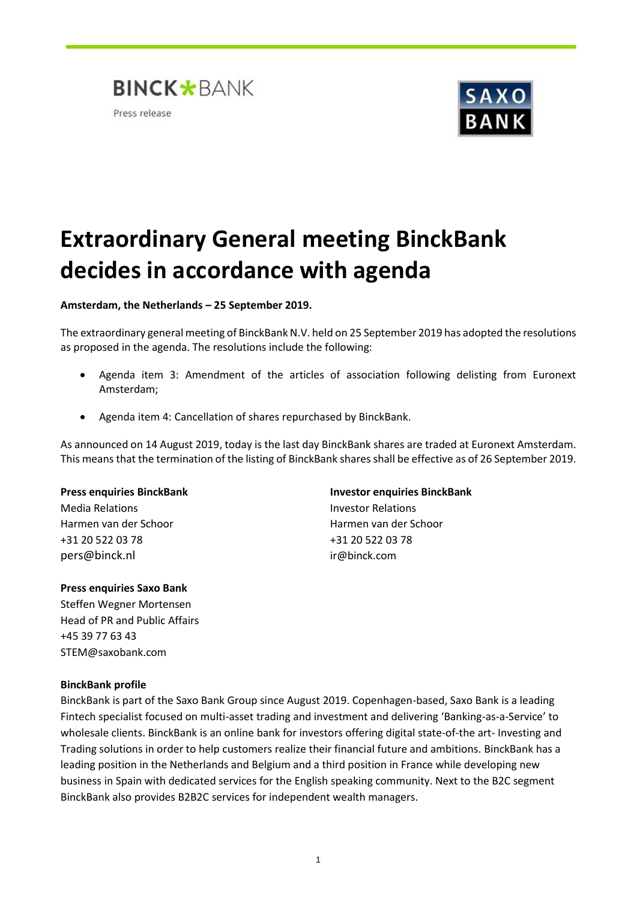



# **Extraordinary General meeting BinckBank decides in accordance with agenda**

**Amsterdam, the Netherlands – 25 September 2019.** 

The extraordinary general meeting of BinckBank N.V. held on 25 September 2019 has adopted the resolutions as proposed in the agenda. The resolutions include the following:

- Agenda item 3: Amendment of the articles of association following delisting from Euronext Amsterdam;
- Agenda item 4: Cancellation of shares repurchased by BinckBank.

As announced on 14 August 2019, today is the last day BinckBank shares are traded at Euronext Amsterdam. This means that the termination of the listing of BinckBank shares shall be effective as of 26 September 2019.

## **Press enquiries BinckBank Investor enquiries BinckBank**

Media Relations Investor Relations Harmen van der Schoor Harmen van der Schoor +31 20 522 03 78 +31 20 522 03 78 pers@binck.nl ir@binck.com

## **Press enquiries Saxo Bank**

Steffen Wegner Mortensen Head of PR and Public Affairs +45 39 77 63 43 STEM@saxobank.com

## **BinckBank profile**

BinckBank is part of the Saxo Bank Group since August 2019. Copenhagen-based, Saxo Bank is a leading Fintech specialist focused on multi-asset trading and investment and delivering 'Banking-as-a-Service' to wholesale clients. BinckBank is an online bank for investors offering digital state-of-the art- Investing and Trading solutions in order to help customers realize their financial future and ambitions. BinckBank has a leading position in the Netherlands and Belgium and a third position in France while developing new business in Spain with dedicated services for the English speaking community. Next to the B2C segment BinckBank also provides B2B2C services for independent wealth managers.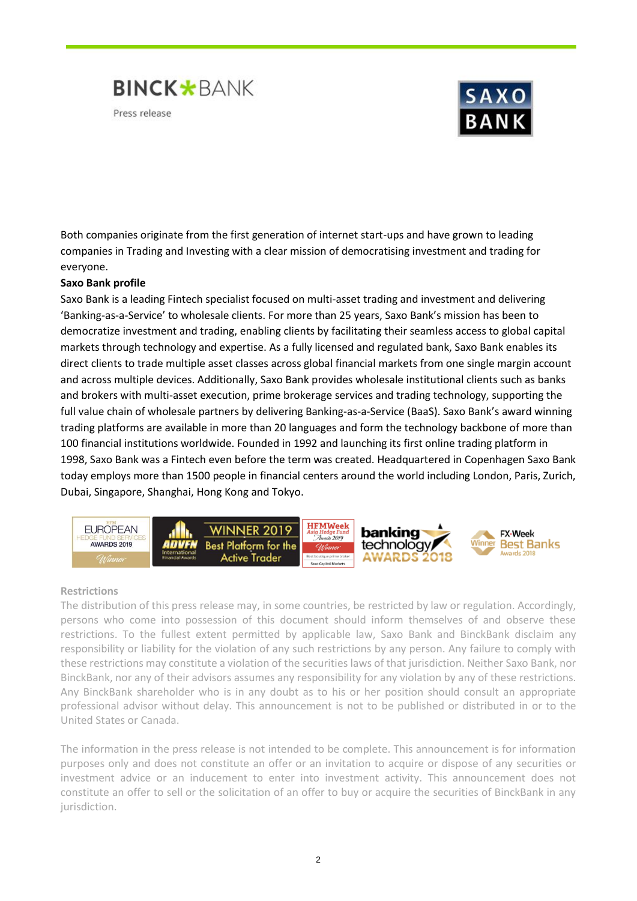



Both companies originate from the first generation of internet start-ups and have grown to leading companies in Trading and Investing with a clear mission of democratising investment and trading for everyone.

## **Saxo Bank profile**

Saxo Bank is a leading Fintech specialist focused on multi-asset trading and investment and delivering 'Banking-as-a-Service' to wholesale clients. For more than 25 years, Saxo Bank's mission has been to democratize investment and trading, enabling clients by facilitating their seamless access to global capital markets through technology and expertise. As a fully licensed and regulated bank, Saxo Bank enables its direct clients to trade multiple asset classes across global financial markets from one single margin account and across multiple devices. Additionally, Saxo Bank provides wholesale institutional clients such as banks and brokers with multi-asset execution, prime brokerage services and trading technology, supporting the full value chain of wholesale partners by delivering Banking-as-a-Service (BaaS). Saxo Bank's award winning [trading platforms](https://www.home.saxo/platforms?cmpid=press-release) are available in more than 20 languages and form the technology backbone of more than 100 financial institutions worldwide[. Founded in 1992](https://www.home.saxo/about-us?cmpid=press-release) and launching its first online trading platform in 1998, Saxo Bank was a Fintech even before the term was created. Headquartered in Copenhagen Saxo Bank today employs more than 1500 people in financial centers around the world including London, Paris, Zurich, Dubai, Singapore, Shanghai, Hong Kong and Tokyo.



## **Restrictions**

The distribution of this press release may, in some countries, be restricted by law or regulation. Accordingly, persons who come into possession of this document should inform themselves of and observe these restrictions. To the fullest extent permitted by applicable law, Saxo Bank and BinckBank disclaim any responsibility or liability for the violation of any such restrictions by any person. Any failure to comply with these restrictions may constitute a violation of the securities laws of that jurisdiction. Neither Saxo Bank, nor BinckBank, nor any of their advisors assumes any responsibility for any violation by any of these restrictions. Any BinckBank shareholder who is in any doubt as to his or her position should consult an appropriate professional advisor without delay. This announcement is not to be published or distributed in or to the United States or Canada.

The information in the press release is not intended to be complete. This announcement is for information purposes only and does not constitute an offer or an invitation to acquire or dispose of any securities or investment advice or an inducement to enter into investment activity. This announcement does not constitute an offer to sell or the solicitation of an offer to buy or acquire the securities of BinckBank in any jurisdiction.